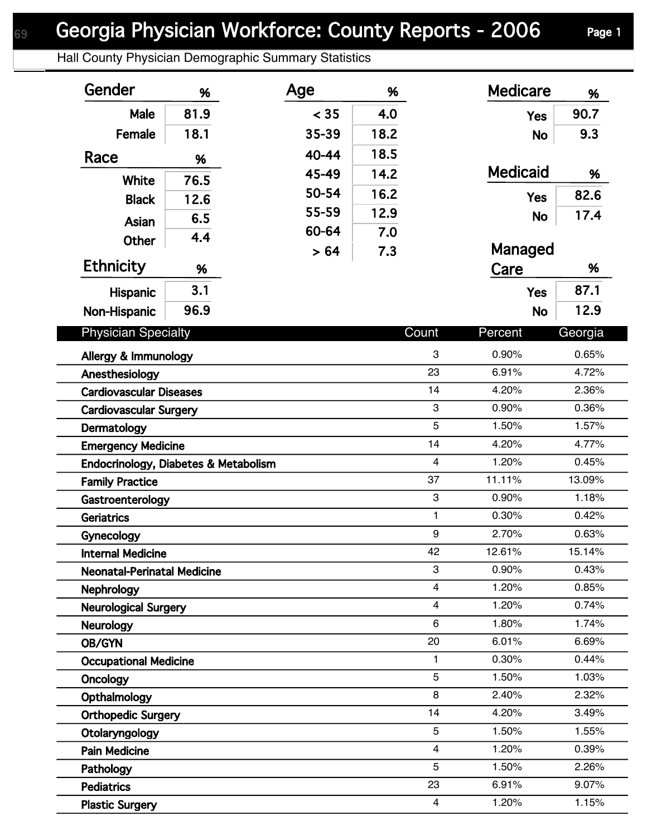Hall County Physician Demographic Summary Statistics

| Gender                                       | %    | Age   | %    |                  | <b>Medicare</b> | %              |
|----------------------------------------------|------|-------|------|------------------|-----------------|----------------|
| Male                                         | 81.9 | < 35  | 4.0  |                  | <b>Yes</b>      | 90.7           |
| Female                                       | 18.1 | 35-39 | 18.2 |                  | <b>No</b>       | 9.3            |
| Race                                         | %    | 40-44 | 18.5 |                  |                 |                |
|                                              |      | 45-49 | 14.2 |                  | <b>Medicaid</b> | %              |
| <b>White</b>                                 | 76.5 | 50-54 | 16.2 |                  | <b>Yes</b>      | 82.6           |
| <b>Black</b>                                 | 12.6 | 55-59 | 12.9 |                  |                 | 17.4           |
| Asian                                        | 6.5  | 60-64 | 7.0  |                  | <b>No</b>       |                |
| Other                                        | 4.4  | > 64  | 7.3  |                  | Managed         |                |
| <b>Ethnicity</b>                             | %    |       |      |                  | Care            | %              |
| Hispanic                                     | 3.1  |       |      |                  | <b>Yes</b>      | 87.1           |
| Non-Hispanic                                 | 96.9 |       |      |                  | <b>No</b>       | 12.9           |
| <b>Physician Specialty</b>                   |      |       |      | Count            | Percent         | Georgia        |
|                                              |      |       |      |                  |                 |                |
| Allergy & Immunology                         |      |       |      | 3<br>23          | 0.90%<br>6.91%  | 0.65%<br>4.72% |
| Anesthesiology                               |      |       |      | 14               | 4.20%           | 2.36%          |
| <b>Cardiovascular Diseases</b>               |      |       |      | 3                | 0.90%           | 0.36%          |
| <b>Cardiovascular Surgery</b><br>Dermatology |      |       |      | 5                | 1.50%           | 1.57%          |
| <b>Emergency Medicine</b>                    |      |       |      | 14               | 4.20%           | 4.77%          |
| Endocrinology, Diabetes & Metabolism         |      |       |      | $\overline{4}$   | 1.20%           | 0.45%          |
| <b>Family Practice</b>                       |      |       |      | 37               | 11.11%          | 13.09%         |
| Gastroenterology                             |      |       |      | 3                | 0.90%           | 1.18%          |
| <b>Geriatrics</b>                            |      |       |      | $\mathbf{1}$     | 0.30%           | 0.42%          |
| Gynecology                                   |      |       |      | $\boldsymbol{9}$ | 2.70%           | 0.63%          |
| <b>Internal Medicine</b>                     |      |       |      | 42               | 12.61%          | 15.14%         |
| <b>Neonatal-Perinatal Medicine</b>           |      |       |      | 3                | 0.90%           | 0.43%          |
| <b>Nephrology</b>                            |      |       |      | 4                | 1.20%           | 0.85%          |
| <b>Neurological Surgery</b>                  |      |       |      | 4                | 1.20%           | 0.74%          |
| <b>Neurology</b>                             |      |       |      | 6                | 1.80%           | 1.74%          |
| OB/GYN                                       |      |       |      | 20               | 6.01%           | 6.69%          |
| <b>Occupational Medicine</b>                 |      |       |      | 1                | 0.30%           | 0.44%          |
| Oncology                                     |      |       |      | 5                | 1.50%           | 1.03%          |
| Opthalmology                                 |      |       |      | 8                | 2.40%           | 2.32%          |
| <b>Orthopedic Surgery</b>                    |      |       |      | 14               | 4.20%           | 3.49%          |
| Otolaryngology                               |      |       |      | 5                | 1.50%           | 1.55%          |
| <b>Pain Medicine</b>                         |      |       |      | 4                | 1.20%           | 0.39%          |
| Pathology                                    |      |       |      | 5                | 1.50%           | 2.26%          |
| <b>Pediatrics</b>                            |      |       |      | 23               | 6.91%           | 9.07%          |
| <b>Plastic Surgery</b>                       |      |       |      | $\overline{4}$   | 1.20%           | 1.15%          |